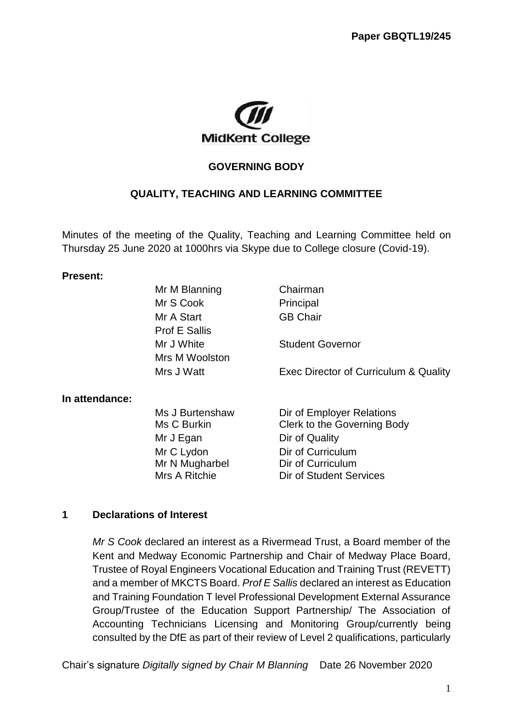

#### **GOVERNING BODY**

#### **QUALITY, TEACHING AND LEARNING COMMITTEE**

Minutes of the meeting of the Quality, Teaching and Learning Committee held on Thursday 25 June 2020 at 1000hrs via Skype due to College closure (Covid-19).

#### **Present:**

|                | Mr M Blanning        | Chairman                              |
|----------------|----------------------|---------------------------------------|
|                | Mr S Cook            | Principal                             |
|                | Mr A Start           | <b>GB Chair</b>                       |
|                | <b>Prof E Sallis</b> |                                       |
|                | Mr J White           | <b>Student Governor</b>               |
|                | Mrs M Woolston       |                                       |
|                | Mrs J Watt           | Exec Director of Curriculum & Quality |
| In attendance: |                      |                                       |
|                | Ms J Burtenshaw      | Dir of Employer Relations             |
|                | Ms C Burkin          | Clerk to the Governing Body           |
|                | Mr J Egan            | Dir of Quality                        |
|                | Mr C Lydon           | Dir of Curriculum                     |
|                | Mr N Mugharbel       | Dir of Curriculum                     |
|                | Mrs A Ritchie        | Dir of Student Services               |

#### **1 Declarations of Interest**

*Mr S Cook* declared an interest as a Rivermead Trust, a Board member of the Kent and Medway Economic Partnership and Chair of Medway Place Board, Trustee of Royal Engineers Vocational Education and Training Trust (REVETT) and a member of MKCTS Board. *Prof E Sallis* declared an interest as Education and Training Foundation T level Professional Development External Assurance Group/Trustee of the Education Support Partnership/ The Association of Accounting Technicians Licensing and Monitoring Group/currently being consulted by the DfE as part of their review of Level 2 qualifications, particularly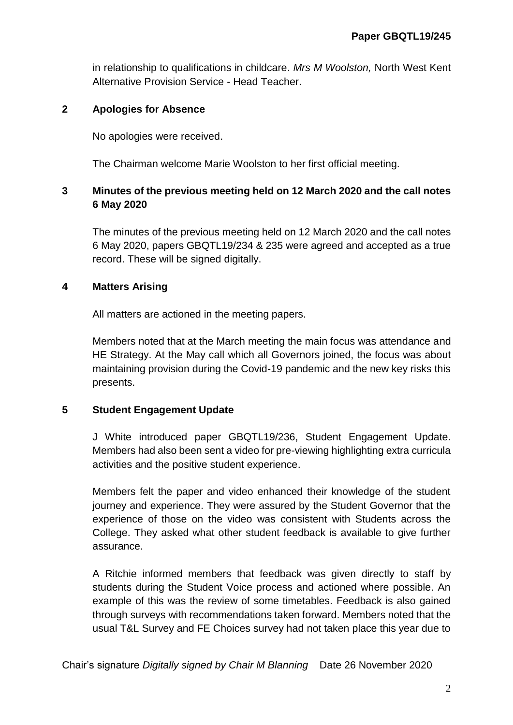in relationship to qualifications in childcare. *Mrs M Woolston,* North West Kent Alternative Provision Service - Head Teacher.

## **2 Apologies for Absence**

No apologies were received.

The Chairman welcome Marie Woolston to her first official meeting.

# **3 Minutes of the previous meeting held on 12 March 2020 and the call notes 6 May 2020**

The minutes of the previous meeting held on 12 March 2020 and the call notes 6 May 2020, papers GBQTL19/234 & 235 were agreed and accepted as a true record. These will be signed digitally.

## **4 Matters Arising**

All matters are actioned in the meeting papers.

Members noted that at the March meeting the main focus was attendance and HE Strategy. At the May call which all Governors joined, the focus was about maintaining provision during the Covid-19 pandemic and the new key risks this presents.

## **5 Student Engagement Update**

J White introduced paper GBQTL19/236, Student Engagement Update. Members had also been sent a video for pre-viewing highlighting extra curricula activities and the positive student experience.

Members felt the paper and video enhanced their knowledge of the student journey and experience. They were assured by the Student Governor that the experience of those on the video was consistent with Students across the College. They asked what other student feedback is available to give further assurance.

A Ritchie informed members that feedback was given directly to staff by students during the Student Voice process and actioned where possible. An example of this was the review of some timetables. Feedback is also gained through surveys with recommendations taken forward. Members noted that the usual T&L Survey and FE Choices survey had not taken place this year due to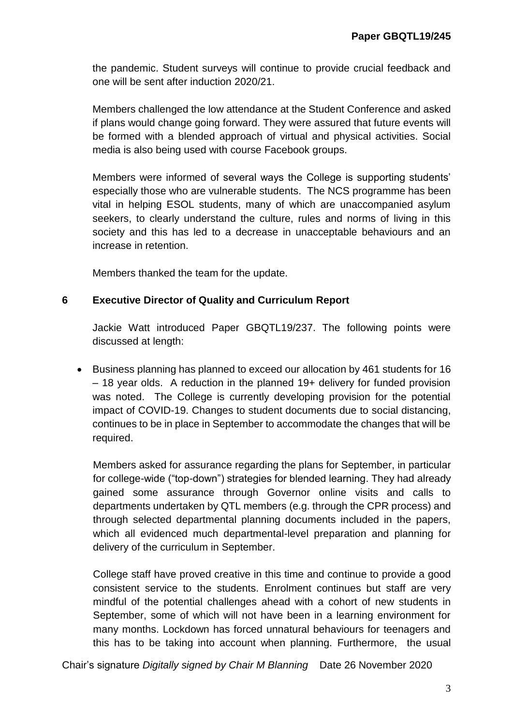the pandemic. Student surveys will continue to provide crucial feedback and one will be sent after induction 2020/21.

Members challenged the low attendance at the Student Conference and asked if plans would change going forward. They were assured that future events will be formed with a blended approach of virtual and physical activities. Social media is also being used with course Facebook groups.

Members were informed of several ways the College is supporting students' especially those who are vulnerable students. The NCS programme has been vital in helping ESOL students, many of which are unaccompanied asylum seekers, to clearly understand the culture, rules and norms of living in this society and this has led to a decrease in unacceptable behaviours and an increase in retention.

Members thanked the team for the update.

## **6 Executive Director of Quality and Curriculum Report**

Jackie Watt introduced Paper GBQTL19/237. The following points were discussed at length:

 Business planning has planned to exceed our allocation by 461 students for 16 – 18 year olds. A reduction in the planned 19+ delivery for funded provision was noted. The College is currently developing provision for the potential impact of COVID-19. Changes to student documents due to social distancing, continues to be in place in September to accommodate the changes that will be required.

Members asked for assurance regarding the plans for September, in particular for college-wide ("top-down") strategies for blended learning. They had already gained some assurance through Governor online visits and calls to departments undertaken by QTL members (e.g. through the CPR process) and through selected departmental planning documents included in the papers, which all evidenced much departmental-level preparation and planning for delivery of the curriculum in September.

College staff have proved creative in this time and continue to provide a good consistent service to the students. Enrolment continues but staff are very mindful of the potential challenges ahead with a cohort of new students in September, some of which will not have been in a learning environment for many months. Lockdown has forced unnatural behaviours for teenagers and this has to be taking into account when planning. Furthermore, the usual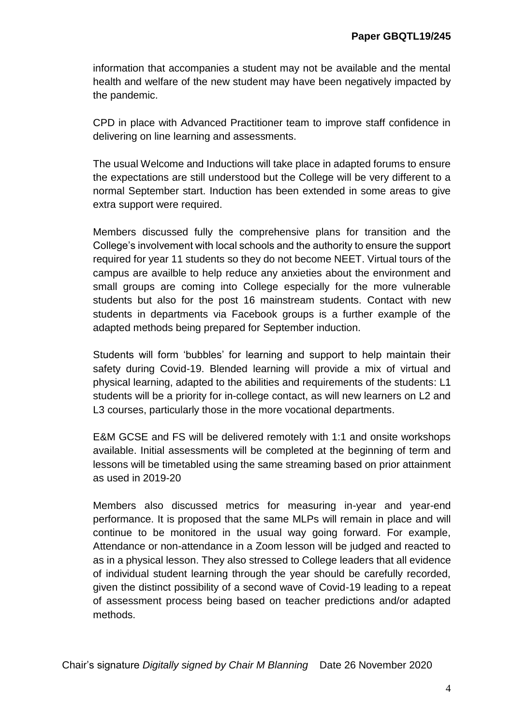information that accompanies a student may not be available and the mental health and welfare of the new student may have been negatively impacted by the pandemic.

CPD in place with Advanced Practitioner team to improve staff confidence in delivering on line learning and assessments.

The usual Welcome and Inductions will take place in adapted forums to ensure the expectations are still understood but the College will be very different to a normal September start. Induction has been extended in some areas to give extra support were required.

Members discussed fully the comprehensive plans for transition and the College's involvement with local schools and the authority to ensure the support required for year 11 students so they do not become NEET. Virtual tours of the campus are availble to help reduce any anxieties about the environment and small groups are coming into College especially for the more vulnerable students but also for the post 16 mainstream students. Contact with new students in departments via Facebook groups is a further example of the adapted methods being prepared for September induction.

Students will form 'bubbles' for learning and support to help maintain their safety during Covid-19. Blended learning will provide a mix of virtual and physical learning, adapted to the abilities and requirements of the students: L1 students will be a priority for in-college contact, as will new learners on L2 and L3 courses, particularly those in the more vocational departments.

E&M GCSE and FS will be delivered remotely with 1:1 and onsite workshops available. Initial assessments will be completed at the beginning of term and lessons will be timetabled using the same streaming based on prior attainment as used in 2019-20

Members also discussed metrics for measuring in-year and year-end performance. It is proposed that the same MLPs will remain in place and will continue to be monitored in the usual way going forward. For example, Attendance or non-attendance in a Zoom lesson will be judged and reacted to as in a physical lesson. They also stressed to College leaders that all evidence of individual student learning through the year should be carefully recorded, given the distinct possibility of a second wave of Covid-19 leading to a repeat of assessment process being based on teacher predictions and/or adapted methods.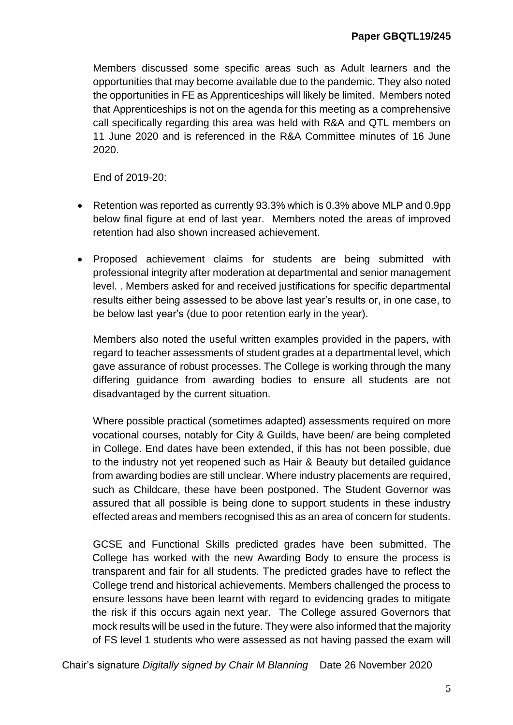Members discussed some specific areas such as Adult learners and the opportunities that may become available due to the pandemic. They also noted the opportunities in FE as Apprenticeships will likely be limited. Members noted that Apprenticeships is not on the agenda for this meeting as a comprehensive call specifically regarding this area was held with R&A and QTL members on 11 June 2020 and is referenced in the R&A Committee minutes of 16 June 2020.

End of 2019-20:

- Retention was reported as currently 93.3% which is 0.3% above MLP and 0.9pp below final figure at end of last year. Members noted the areas of improved retention had also shown increased achievement.
- Proposed achievement claims for students are being submitted with professional integrity after moderation at departmental and senior management level. . Members asked for and received justifications for specific departmental results either being assessed to be above last year's results or, in one case, to be below last year's (due to poor retention early in the year).

Members also noted the useful written examples provided in the papers, with regard to teacher assessments of student grades at a departmental level, which gave assurance of robust processes. The College is working through the many differing guidance from awarding bodies to ensure all students are not disadvantaged by the current situation.

Where possible practical (sometimes adapted) assessments required on more vocational courses, notably for City & Guilds, have been/ are being completed in College. End dates have been extended, if this has not been possible, due to the industry not yet reopened such as Hair & Beauty but detailed guidance from awarding bodies are still unclear. Where industry placements are required, such as Childcare, these have been postponed. The Student Governor was assured that all possible is being done to support students in these industry effected areas and members recognised this as an area of concern for students.

GCSE and Functional Skills predicted grades have been submitted. The College has worked with the new Awarding Body to ensure the process is transparent and fair for all students. The predicted grades have to reflect the College trend and historical achievements. Members challenged the process to ensure lessons have been learnt with regard to evidencing grades to mitigate the risk if this occurs again next year. The College assured Governors that mock results will be used in the future. They were also informed that the majority of FS level 1 students who were assessed as not having passed the exam will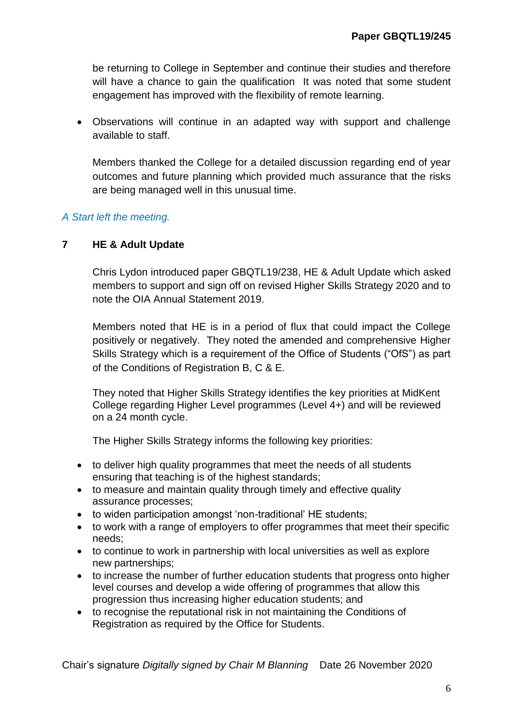be returning to College in September and continue their studies and therefore will have a chance to gain the qualification It was noted that some student engagement has improved with the flexibility of remote learning.

 Observations will continue in an adapted way with support and challenge available to staff.

Members thanked the College for a detailed discussion regarding end of year outcomes and future planning which provided much assurance that the risks are being managed well in this unusual time.

# *A Start left the meeting.*

## **7 HE & Adult Update**

Chris Lydon introduced paper GBQTL19/238, HE & Adult Update which asked members to support and sign off on revised Higher Skills Strategy 2020 and to note the OIA Annual Statement 2019.

Members noted that HE is in a period of flux that could impact the College positively or negatively. They noted the amended and comprehensive Higher Skills Strategy which is a requirement of the Office of Students ("OfS") as part of the Conditions of Registration B, C & E.

They noted that Higher Skills Strategy identifies the key priorities at MidKent College regarding Higher Level programmes (Level 4+) and will be reviewed on a 24 month cycle.

The Higher Skills Strategy informs the following key priorities:

- to deliver high quality programmes that meet the needs of all students ensuring that teaching is of the highest standards;
- to measure and maintain quality through timely and effective quality assurance processes;
- to widen participation amongst 'non-traditional' HE students;
- to work with a range of employers to offer programmes that meet their specific needs;
- to continue to work in partnership with local universities as well as explore new partnerships;
- to increase the number of further education students that progress onto higher level courses and develop a wide offering of programmes that allow this progression thus increasing higher education students; and
- to recognise the reputational risk in not maintaining the Conditions of Registration as required by the Office for Students.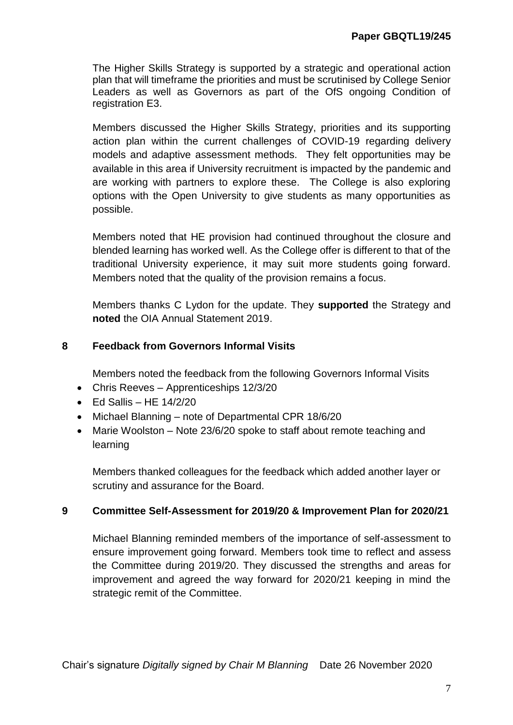The Higher Skills Strategy is supported by a strategic and operational action plan that will timeframe the priorities and must be scrutinised by College Senior Leaders as well as Governors as part of the OfS ongoing Condition of registration E3.

Members discussed the Higher Skills Strategy, priorities and its supporting action plan within the current challenges of COVID-19 regarding delivery models and adaptive assessment methods. They felt opportunities may be available in this area if University recruitment is impacted by the pandemic and are working with partners to explore these. The College is also exploring options with the Open University to give students as many opportunities as possible.

Members noted that HE provision had continued throughout the closure and blended learning has worked well. As the College offer is different to that of the traditional University experience, it may suit more students going forward. Members noted that the quality of the provision remains a focus.

Members thanks C Lydon for the update. They **supported** the Strategy and **noted** the OIA Annual Statement 2019.

## **8 Feedback from Governors Informal Visits**

Members noted the feedback from the following Governors Informal Visits

- Chris Reeves Apprenticeships 12/3/20
- $\bullet$  Fd Sallis HF 14/2/20
- Michael Blanning note of Departmental CPR 18/6/20
- Marie Woolston Note 23/6/20 spoke to staff about remote teaching and learning

Members thanked colleagues for the feedback which added another layer or scrutiny and assurance for the Board.

## **9 Committee Self-Assessment for 2019/20 & Improvement Plan for 2020/21**

Michael Blanning reminded members of the importance of self-assessment to ensure improvement going forward. Members took time to reflect and assess the Committee during 2019/20. They discussed the strengths and areas for improvement and agreed the way forward for 2020/21 keeping in mind the strategic remit of the Committee.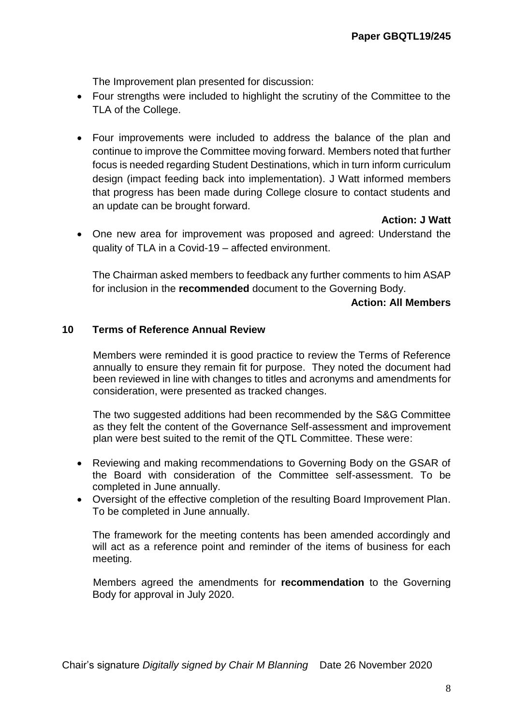The Improvement plan presented for discussion:

- Four strengths were included to highlight the scrutiny of the Committee to the TLA of the College.
- Four improvements were included to address the balance of the plan and continue to improve the Committee moving forward. Members noted that further focus is needed regarding Student Destinations, which in turn inform curriculum design (impact feeding back into implementation). J Watt informed members that progress has been made during College closure to contact students and an update can be brought forward.

**Action: J Watt**

 One new area for improvement was proposed and agreed: Understand the quality of TLA in a Covid-19 – affected environment.

The Chairman asked members to feedback any further comments to him ASAP for inclusion in the **recommended** document to the Governing Body.

#### **Action: All Members**

#### **10 Terms of Reference Annual Review**

Members were reminded it is good practice to review the Terms of Reference annually to ensure they remain fit for purpose. They noted the document had been reviewed in line with changes to titles and acronyms and amendments for consideration, were presented as tracked changes.

The two suggested additions had been recommended by the S&G Committee as they felt the content of the Governance Self-assessment and improvement plan were best suited to the remit of the QTL Committee. These were:

- Reviewing and making recommendations to Governing Body on the GSAR of the Board with consideration of the Committee self-assessment. To be completed in June annually.
- Oversight of the effective completion of the resulting Board Improvement Plan. To be completed in June annually.

The framework for the meeting contents has been amended accordingly and will act as a reference point and reminder of the items of business for each meeting.

Members agreed the amendments for **recommendation** to the Governing Body for approval in July 2020.